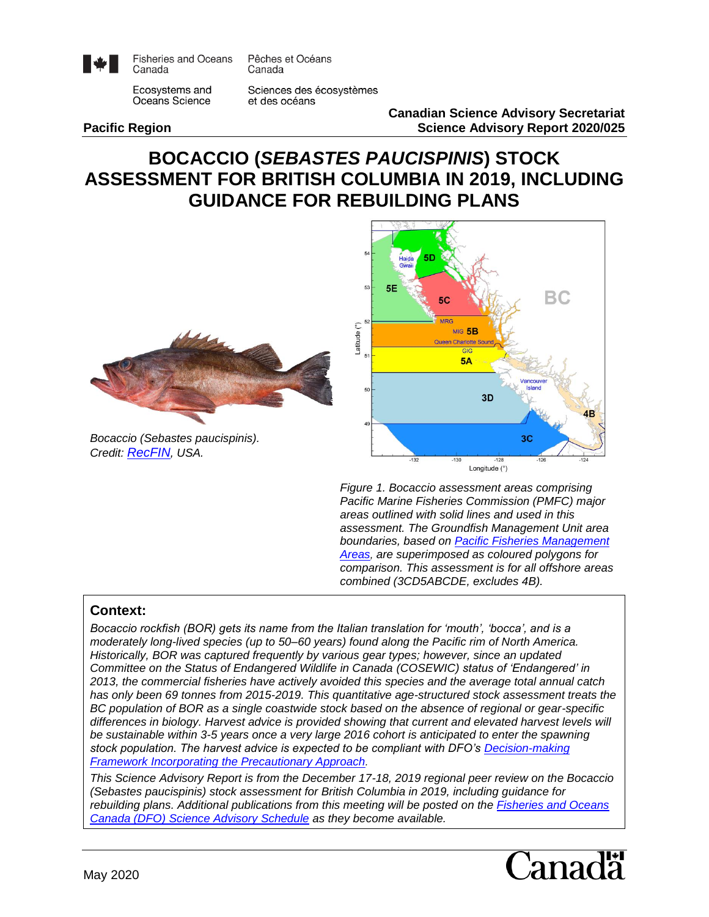

**Fisheries and Oceans** Canada

Pêches et Océans Canada

Ecosystems and Oceans Science

Sciences des écosystèmes et des océans

**Canadian Science Advisory Secretariat Pacific Region Science Advisory Report 2020/025**

# **BOCACCIO (***SEBASTES PAUCISPINIS***) STOCK ASSESSMENT FOR BRITISH COLUMBIA IN 2019, INCLUDING GUIDANCE FOR REBUILDING PLANS**



*Bocaccio (Sebastes paucispinis). Credit: [RecFIN](https://www.recfin.org/resources/fishid/bocaccio/), USA.*



*Figure 1. Bocaccio assessment areas comprising Pacific Marine Fisheries Commission (PMFC) major areas outlined with solid lines and used in this assessment. The Groundfish Management Unit area boundaries, based on [Pacific Fisheries Management](http://laws-lois.justice.gc.ca/eng/regulations/SOR-2007-77/)  [Areas](http://laws-lois.justice.gc.ca/eng/regulations/SOR-2007-77/), are superimposed as coloured polygons for comparison. This assessment is for all offshore areas combined (3CD5ABCDE, excludes 4B).*

#### **Context:**

*Bocaccio rockfish (BOR) gets its name from the Italian translation for 'mouth', 'bocca', and is a moderately long-lived species (up to 50–60 years) found along the Pacific rim of North America. Historically, BOR was captured frequently by various gear types; however, since an updated Committee on the Status of Endangered Wildlife in Canada (COSEWIC) status of 'Endangered' in 2013, the commercial fisheries have actively avoided this species and the average total annual catch has only been 69 tonnes from 2015-2019. This quantitative age-structured stock assessment treats the BC population of BOR as a single coastwide stock based on the absence of regional or gear-specific differences in biology. Harvest advice is provided showing that current and elevated harvest levels will be sustainable within 3-5 years once a very large 2016 cohort is anticipated to enter the spawning stock population. The harvest advice is expected to be compliant with DFO's [Decision-making](http://www.dfo-mpo.gc.ca/reports-rapports/regs/sff-cpd/precaution-back-fiche-eng.htm)  [Framework Incorporating the Precautionary Approach](http://www.dfo-mpo.gc.ca/reports-rapports/regs/sff-cpd/precaution-back-fiche-eng.htm).* 

*This Science Advisory Report is from the December 17-18, 2019 regional peer review on the Bocaccio (Sebastes paucispinis) stock assessment for British Columbia in 2019, including guidance for rebuilding plans. Additional publications from this meeting will be posted on the [Fisheries and Oceans](http://www.isdm-gdsi.gc.ca/csas-sccs/applications/events-evenements/index-eng.asp)  [Canada \(DFO\) Science Advisory Schedule](http://www.isdm-gdsi.gc.ca/csas-sccs/applications/events-evenements/index-eng.asp) as they become available.*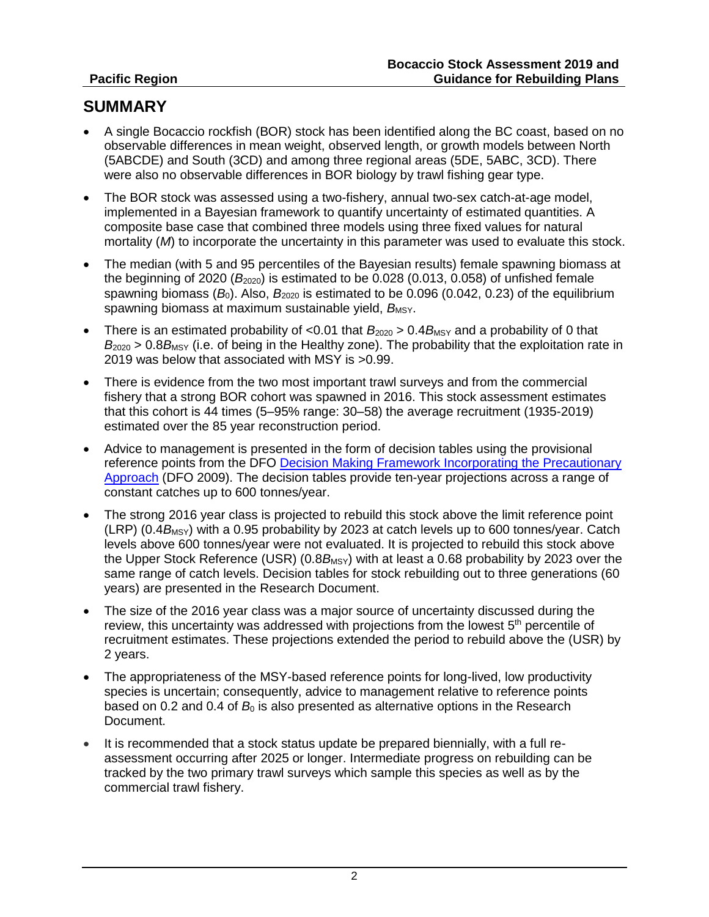# **SUMMARY**

- A single Bocaccio rockfish (BOR) stock has been identified along the BC coast, based on no observable differences in mean weight, observed length, or growth models between North (5ABCDE) and South (3CD) and among three regional areas (5DE, 5ABC, 3CD). There were also no observable differences in BOR biology by trawl fishing gear type.
- The BOR stock was assessed using a two-fishery, annual two-sex catch-at-age model, implemented in a Bayesian framework to quantify uncertainty of estimated quantities. A composite base case that combined three models using three fixed values for natural mortality (*M*) to incorporate the uncertainty in this parameter was used to evaluate this stock.
- The median (with 5 and 95 percentiles of the Bayesian results) female spawning biomass at the beginning of 2020  $(B<sub>2020</sub>)$  is estimated to be 0.028 (0.013, 0.058) of unfished female spawning biomass  $(B<sub>0</sub>)$ . Also,  $B<sub>2020</sub>$  is estimated to be 0.096 (0.042, 0.23) of the equilibrium spawning biomass at maximum sustainable yield, *B*<sub>MSY</sub>.
- There is an estimated probability of  $< 0.01$  that  $B_{2020} > 0.4 B_{MSY}$  and a probability of 0 that  $B_{2020} > 0.8 B_{\text{MSY}}$  (i.e. of being in the Healthy zone). The probability that the exploitation rate in 2019 was below that associated with MSY is >0.99.
- There is evidence from the two most important trawl surveys and from the commercial fishery that a strong BOR cohort was spawned in 2016. This stock assessment estimates that this cohort is 44 times (5–95% range: 30–58) the average recruitment (1935-2019) estimated over the 85 year reconstruction period.
- Advice to management is presented in the form of decision tables using the provisional reference points from the DFO Decision Making Framework Incorporating the Precautionary [Approach](http://www.dfo-mpo.gc.ca/reports-rapports/regs/sff-cpd/precaution-back-fiche-eng.htm) (DFO 2009). The decision tables provide ten-year projections across a range of constant catches up to 600 tonnes/year.
- The strong 2016 year class is projected to rebuild this stock above the limit reference point  $(LRP)$  (0.4 $B_{MSY}$ ) with a 0.95 probability by 2023 at catch levels up to 600 tonnes/year. Catch levels above 600 tonnes/year were not evaluated. It is projected to rebuild this stock above the Upper Stock Reference (USR)  $(0.8B_{MSY})$  with at least a 0.68 probability by 2023 over the same range of catch levels. Decision tables for stock rebuilding out to three generations (60 years) are presented in the Research Document.
- The size of the 2016 year class was a major source of uncertainty discussed during the review, this uncertainty was addressed with projections from the lowest 5<sup>th</sup> percentile of recruitment estimates. These projections extended the period to rebuild above the (USR) by 2 years.
- The appropriateness of the MSY-based reference points for long-lived, low productivity species is uncertain; consequently, advice to management relative to reference points based on 0.2 and 0.4 of  $B_0$  is also presented as alternative options in the Research Document.
- It is recommended that a stock status update be prepared biennially, with a full reassessment occurring after 2025 or longer. Intermediate progress on rebuilding can be tracked by the two primary trawl surveys which sample this species as well as by the commercial trawl fishery.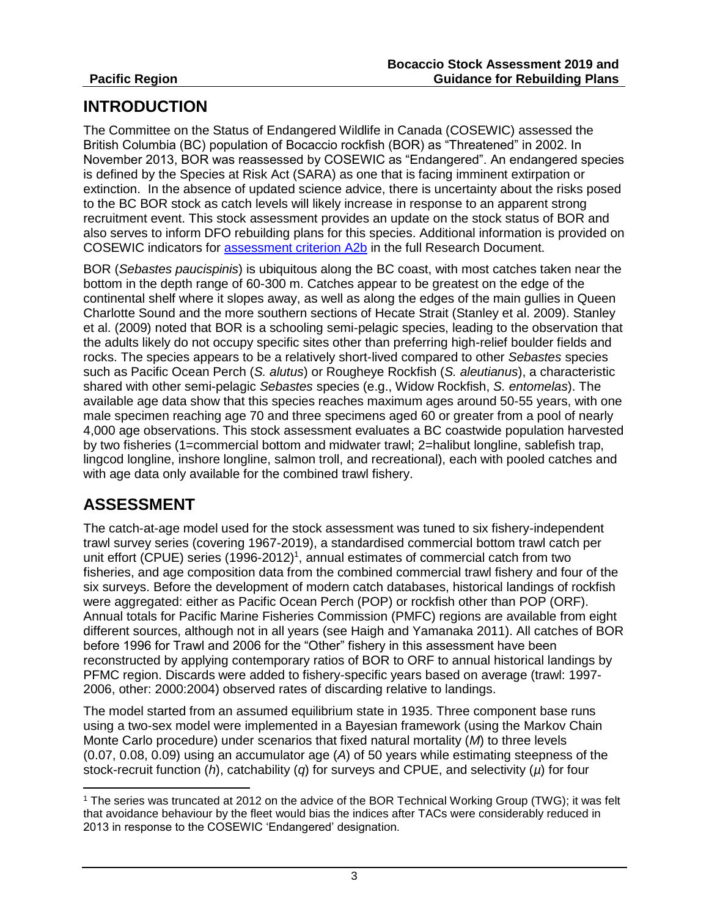# **INTRODUCTION**

The Committee on the Status of Endangered Wildlife in Canada (COSEWIC) assessed the British Columbia (BC) population of Bocaccio rockfish (BOR) as "Threatened" in 2002. In November 2013, BOR was reassessed by COSEWIC as "Endangered". An endangered species is defined by the Species at Risk Act (SARA) as one that is facing imminent extirpation or extinction. In the absence of updated science advice, there is uncertainty about the risks posed to the BC BOR stock as catch levels will likely increase in response to an apparent strong recruitment event. This stock assessment provides an update on the stock status of BOR and also serves to inform DFO rebuilding plans for this species. Additional information is provided on COSEWIC indicators for [assessment criterion A2b](https://www.canada.ca/content/dam/eccc/migration/cosewic-cosepac/94d0444d-369c-49ed-a586-ec00c3fef69b/assessment_process_and_criteria_e.pdf) in the full Research Document.

BOR (*Sebastes paucispinis*) is ubiquitous along the BC coast, with most catches taken near the bottom in the depth range of 60-300 m. Catches appear to be greatest on the edge of the continental shelf where it slopes away, as well as along the edges of the main gullies in Queen Charlotte Sound and the more southern sections of Hecate Strait (Stanley et al. 2009). Stanley et al. (2009) noted that BOR is a schooling semi-pelagic species, leading to the observation that the adults likely do not occupy specific sites other than preferring high-relief boulder fields and rocks. The species appears to be a relatively short-lived compared to other *Sebastes* species such as Pacific Ocean Perch (*S. alutus*) or Rougheye Rockfish (*S. aleutianus*), a characteristic shared with other semi-pelagic *Sebastes* species (e.g., Widow Rockfish, *S. entomelas*). The available age data show that this species reaches maximum ages around 50-55 years, with one male specimen reaching age 70 and three specimens aged 60 or greater from a pool of nearly 4,000 age observations. This stock assessment evaluates a BC coastwide population harvested by two fisheries (1=commercial bottom and midwater trawl; 2=halibut longline, sablefish trap, lingcod longline, inshore longline, salmon troll, and recreational), each with pooled catches and with age data only available for the combined trawl fishery.

# **ASSESSMENT**

 $\overline{a}$ 

The catch-at-age model used for the stock assessment was tuned to six fishery-independent trawl survey series (covering 1967-2019), a standardised commercial bottom trawl catch per unit effort (CPUE) series  $(1996-2012)^1$ , annual estimates of commercial catch from two fisheries, and age composition data from the combined commercial trawl fishery and four of the six surveys. Before the development of modern catch databases, historical landings of rockfish were aggregated: either as Pacific Ocean Perch (POP) or rockfish other than POP (ORF). Annual totals for Pacific Marine Fisheries Commission (PMFC) regions are available from eight different sources, although not in all years (see Haigh and Yamanaka 2011). All catches of BOR before 1996 for Trawl and 2006 for the "Other" fishery in this assessment have been reconstructed by applying contemporary ratios of BOR to ORF to annual historical landings by PFMC region. Discards were added to fishery-specific years based on average (trawl: 1997- 2006, other: 2000:2004) observed rates of discarding relative to landings.

The model started from an assumed equilibrium state in 1935. Three component base runs using a two-sex model were implemented in a Bayesian framework (using the Markov Chain Monte Carlo procedure) under scenarios that fixed natural mortality (*M*) to three levels (0.07, 0.08, 0.09) using an accumulator age (*A*) of 50 years while estimating steepness of the stock-recruit function (*h*), catchability (*q*) for surveys and CPUE, and selectivity (*µ*) for four

<sup>1</sup> The series was truncated at 2012 on the advice of the BOR Technical Working Group (TWG); it was felt that avoidance behaviour by the fleet would bias the indices after TACs were considerably reduced in 2013 in response to the COSEWIC 'Endangered' designation.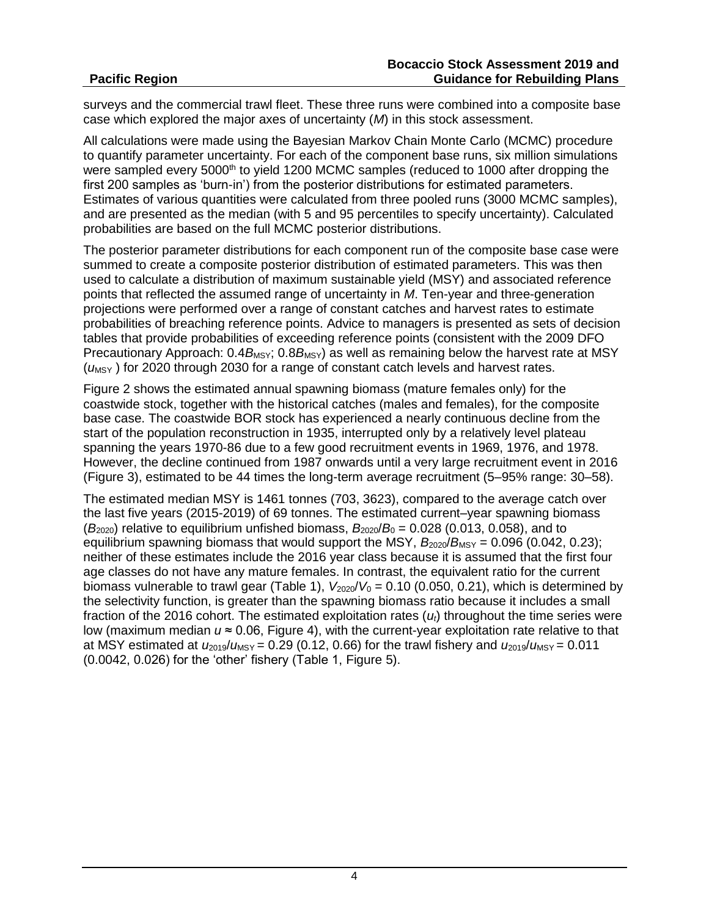surveys and the commercial trawl fleet. These three runs were combined into a composite base case which explored the major axes of uncertainty (*M*) in this stock assessment.

All calculations were made using the Bayesian Markov Chain Monte Carlo (MCMC) procedure to quantify parameter uncertainty. For each of the component base runs, six million simulations were sampled every 5000<sup>th</sup> to yield 1200 MCMC samples (reduced to 1000 after dropping the first 200 samples as 'burn-in') from the posterior distributions for estimated parameters. Estimates of various quantities were calculated from three pooled runs (3000 MCMC samples), and are presented as the median (with 5 and 95 percentiles to specify uncertainty). Calculated probabilities are based on the full MCMC posterior distributions.

The posterior parameter distributions for each component run of the composite base case were summed to create a composite posterior distribution of estimated parameters. This was then used to calculate a distribution of maximum sustainable yield (MSY) and associated reference points that reflected the assumed range of uncertainty in *M*. Ten-year and three-generation projections were performed over a range of constant catches and harvest rates to estimate probabilities of breaching reference points. Advice to managers is presented as sets of decision tables that provide probabilities of exceeding reference points (consistent with the 2009 DFO Precautionary Approach:  $0.4B_{\text{MSY}}$ ;  $0.8B_{\text{MSY}}$ ) as well as remaining below the harvest rate at MSY ( $u_{\text{MSY}}$ ) for 2020 through 2030 for a range of constant catch levels and harvest rates.

Figure 2 shows the estimated annual spawning biomass (mature females only) for the coastwide stock, together with the historical catches (males and females), for the composite base case. The coastwide BOR stock has experienced a nearly continuous decline from the start of the population reconstruction in 1935, interrupted only by a relatively level plateau spanning the years 1970-86 due to a few good recruitment events in 1969, 1976, and 1978. However, the decline continued from 1987 onwards until a very large recruitment event in 2016 (Figure 3), estimated to be 44 times the long-term average recruitment (5–95% range: 30–58).

The estimated median MSY is 1461 tonnes (703, 3623), compared to the average catch over the last five years (2015-2019) of 69 tonnes. The estimated current–year spawning biomass  $(B<sub>2020</sub>)$  relative to equilibrium unfished biomass,  $B<sub>2020</sub>/B<sub>0</sub> = 0.028$  (0.013, 0.058), and to equilibrium spawning biomass that would support the MSY,  $B_{2020}/B_{\text{MSY}} = 0.096$  (0.042, 0.23); neither of these estimates include the 2016 year class because it is assumed that the first four age classes do not have any mature females. In contrast, the equivalent ratio for the current biomass vulnerable to trawl gear (Table 1),  $V_{2020}/V_0 = 0.10$  (0.050, 0.21), which is determined by the selectivity function, is greater than the spawning biomass ratio because it includes a small fraction of the 2016 cohort. The estimated exploitation rates (*ut*) throughout the time series were low (maximum median *u* ≈ 0.06, Figure 4), with the current-year exploitation rate relative to that at MSY estimated at  $u_{2019}/u_{\text{MSY}} = 0.29$  (0.12, 0.66) for the trawl fishery and  $u_{2019}/u_{\text{MSY}} = 0.011$ (0.0042, 0.026) for the 'other' fishery (Table 1, Figure 5).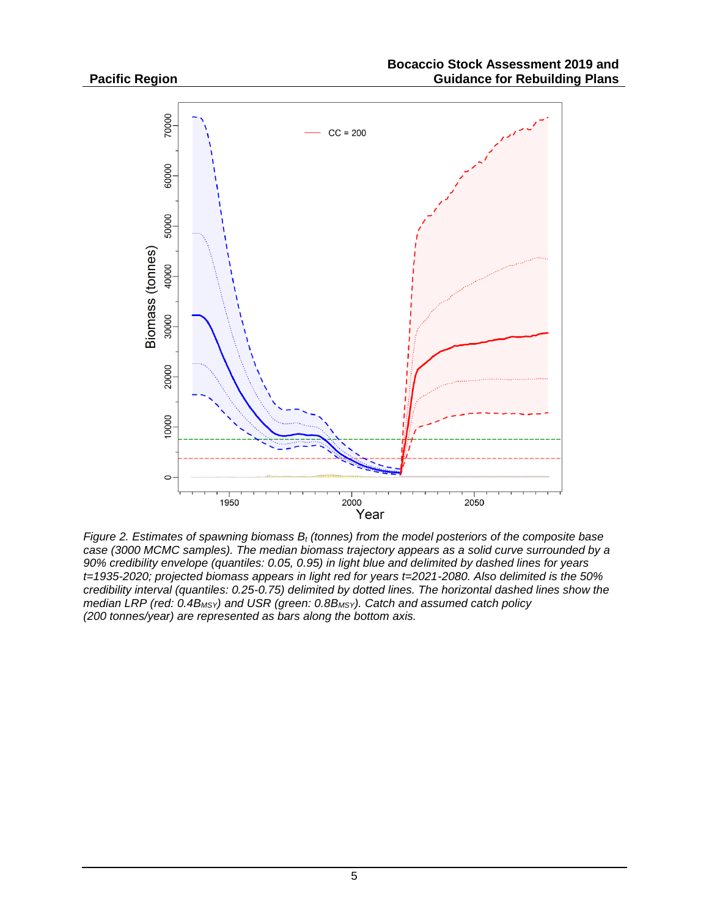

*Figure 2. Estimates of spawning biomass B<sup>t</sup> (tonnes) from the model posteriors of the composite base case (3000 MCMC samples). The median biomass trajectory appears as a solid curve surrounded by a 90% credibility envelope (quantiles: 0.05, 0.95) in light blue and delimited by dashed lines for years t=1935-2020; projected biomass appears in light red for years t=2021-2080. Also delimited is the 50% credibility interval (quantiles: 0.25-0.75) delimited by dotted lines. The horizontal dashed lines show the median LRP (red: 0.4BMSY) and USR (green: 0.8BMSY). Catch and assumed catch policy (200 tonnes/year) are represented as bars along the bottom axis.*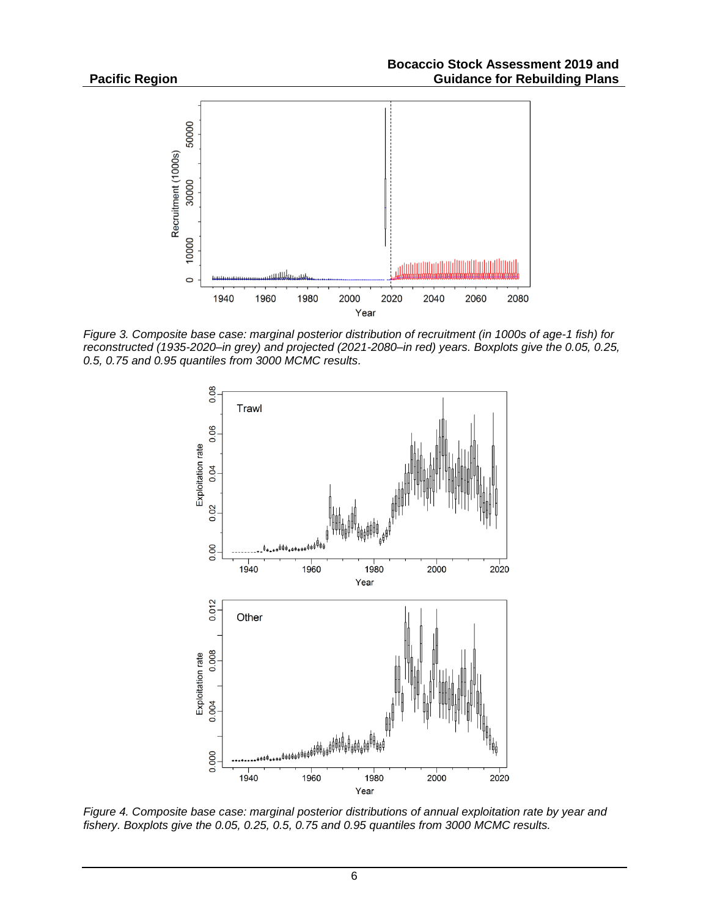

*Figure 3. Composite base case: marginal posterior distribution of recruitment (in 1000s of age-1 fish) for reconstructed (1935-2020–in grey) and projected (2021-2080–in red) years. Boxplots give the 0.05, 0.25, 0.5, 0.75 and 0.95 quantiles from 3000 MCMC results.*



*Figure 4. Composite base case: marginal posterior distributions of annual exploitation rate by year and fishery. Boxplots give the 0.05, 0.25, 0.5, 0.75 and 0.95 quantiles from 3000 MCMC results.*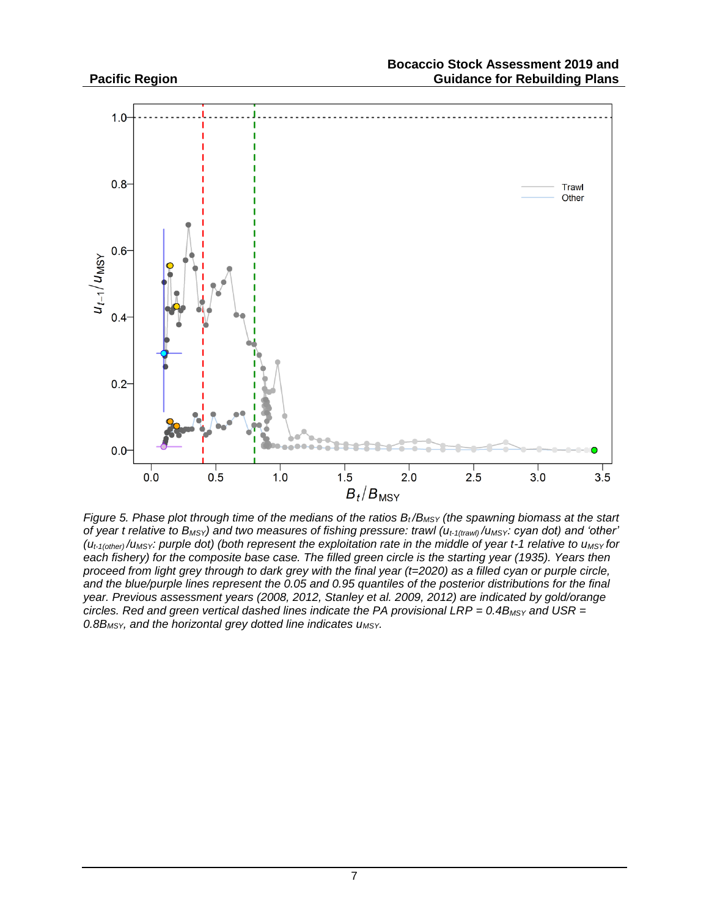

*Figure 5. Phase plot through time of the medians of the ratios B<sup>t</sup> /BMSY (the spawning biomass at the start of year t relative to BMSY) and two measures of fishing pressure: trawl (ut-1(trawl) /uMSY: cyan dot) and 'other' (ut-1(other) /uMSY: purple dot) (both represent the exploitation rate in the middle of year t-1 relative to uMSY for each fishery) for the composite base case. The filled green circle is the starting year (1935). Years then proceed from light grey through to dark grey with the final year (t=2020) as a filled cyan or purple circle, and the blue/purple lines represent the 0.05 and 0.95 quantiles of the posterior distributions for the final year. Previous assessment years (2008, 2012, Stanley et al. 2009, 2012) are indicated by gold/orange circles. Red and green vertical dashed lines indicate the PA provisional LRP* =  $0.4B$ *MSY* and USR = *0.8BMSY, and the horizontal grey dotted line indicates uMSY.*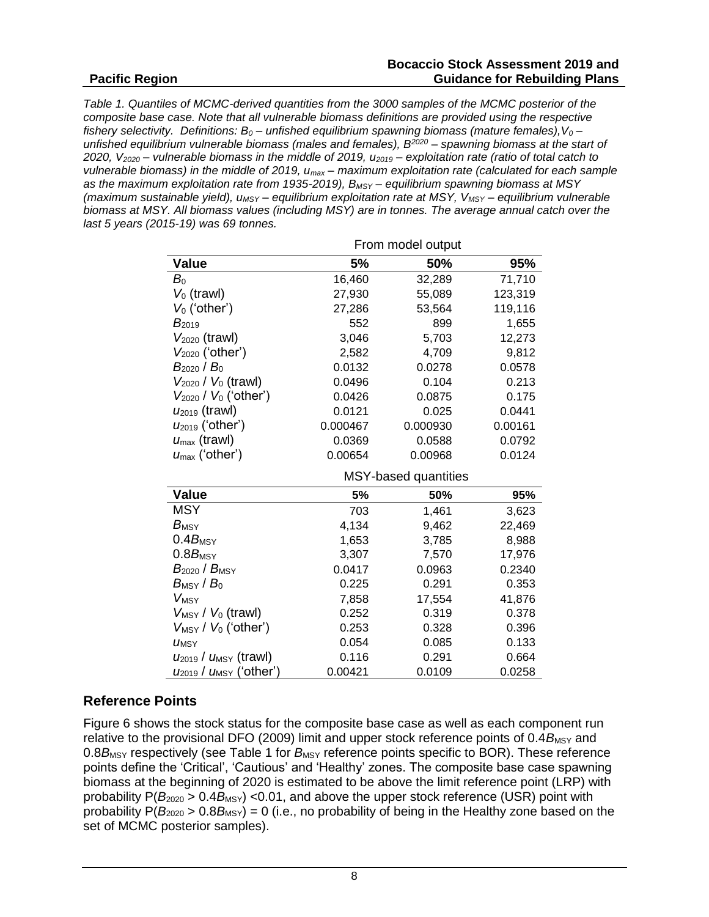#### **Bocaccio Stock Assessment 2019 and Guidance for Rebuilding Plans**

*Table 1. Quantiles of MCMC-derived quantities from the 3000 samples of the MCMC posterior of the composite base case. Note that all vulnerable biomass definitions are provided using the respective fishery selectivity. Definitions: B<sup>0</sup> – unfished equilibrium spawning biomass (mature females),V<sup>0</sup> – unfished equilibrium vulnerable biomass (males and females), B<sup>2020</sup> – spawning biomass at the start of 2020, V<sup>2020</sup> – vulnerable biomass in the middle of 2019, u<sup>2019</sup> – exploitation rate (ratio of total catch to vulnerable biomass) in the middle of 2019, umax – maximum exploitation rate (calculated for each sample as the maximum exploitation rate from 1935-2019), BMSY – equilibrium spawning biomass at MSY (maximum sustainable yield), uMSY – equilibrium exploitation rate at MSY, VMSY – equilibrium vulnerable biomass at MSY. All biomass values (including MSY) are in tonnes. The average annual catch over the last 5 years (2015-19) was 69 tonnes.* 

|                                                | From model output    |          |         |  |  |  |  |
|------------------------------------------------|----------------------|----------|---------|--|--|--|--|
| <b>Value</b>                                   | 5%                   | 50%      | 95%     |  |  |  |  |
| $B_{\rm 0}$                                    | 16,460               | 32,289   | 71,710  |  |  |  |  |
| $V_0$ (trawl)                                  | 27,930               | 55,089   | 123,319 |  |  |  |  |
| $V_0$ ('other')                                | 27,286               | 53,564   | 119,116 |  |  |  |  |
| $B_{2019}$                                     | 552                  | 899      | 1,655   |  |  |  |  |
| $V_{2020}$ (trawl)                             | 3,046                | 5,703    | 12,273  |  |  |  |  |
| $V_{2020}$ ('other')                           | 2,582                | 4,709    | 9,812   |  |  |  |  |
| $B_{2020}$ / $B_0$                             | 0.0132               | 0.0278   | 0.0578  |  |  |  |  |
| $V_{2020}$ / $V_0$ (trawl)                     | 0.0496               | 0.104    | 0.213   |  |  |  |  |
| $V_{2020} / V_0$ ('other')                     | 0.0426               | 0.0875   | 0.175   |  |  |  |  |
| $U_{2019}$ (trawl)                             | 0.0121               | 0.025    | 0.0441  |  |  |  |  |
| $U2019$ ('other')                              | 0.000467             | 0.000930 | 0.00161 |  |  |  |  |
| $u_{\text{max}}$ (trawl)                       | 0.0369               | 0.0588   | 0.0792  |  |  |  |  |
| $U_{\text{max}}$ ('other')                     | 0.00654              | 0.00968  | 0.0124  |  |  |  |  |
|                                                | MSY-based quantities |          |         |  |  |  |  |
| Value                                          | 5%                   | 50%      | 95%     |  |  |  |  |
| <b>MSY</b>                                     | 703                  | 1,461    | 3,623   |  |  |  |  |
| $B_{\text{MSY}}$                               | 4,134                | 9,462    | 22,469  |  |  |  |  |
| $0.4B_{\text{MSY}}$                            | 1,653                | 3,785    | 8,988   |  |  |  |  |
| $0.8B_{\text{MSY}}$                            | 3,307                | 7,570    | 17,976  |  |  |  |  |
| $B_{2020}$ / $B_{\rm MSY}$                     | 0.0417               | 0.0963   | 0.2340  |  |  |  |  |
| $B_{\mathsf{MSY}}$ / $B_0$                     | 0.225                | 0.291    | 0.353   |  |  |  |  |
| <b>VMSY</b>                                    | 7,858                | 17,554   | 41,876  |  |  |  |  |
| $V_{MSY} / V_0$ (trawl)                        | 0.252                | 0.319    | 0.378   |  |  |  |  |
| $V_{MSY}$ / $V_0$ ('other')                    | 0.253                | 0.328    | 0.396   |  |  |  |  |
| <b>UMSY</b>                                    | 0.054                | 0.085    | 0.133   |  |  |  |  |
| $u_{2019}$ / $u_{MSY}$ (trawl)                 | 0.116                | 0.291    | 0.664   |  |  |  |  |
| U <sub>2019</sub> / U <sub>MSY</sub> ('other') | 0.00421              | 0.0109   | 0.0258  |  |  |  |  |

# **Reference Points**

Figure 6 shows the stock status for the composite base case as well as each component run relative to the provisional DFO (2009) limit and upper stock reference points of 0.4*B*MSY and 0.8B<sub>MSY</sub> respectively (see Table 1 for B<sub>MSY</sub> reference points specific to BOR). These reference points define the 'Critical', 'Cautious' and 'Healthy' zones. The composite base case spawning biomass at the beginning of 2020 is estimated to be above the limit reference point (LRP) with probability  $P(B_{2020} > 0.4B_{MSY})$  <0.01, and above the upper stock reference (USR) point with probability  $P(B_{2020} > 0.8B_{MSY}) = 0$  (i.e., no probability of being in the Healthy zone based on the set of MCMC posterior samples).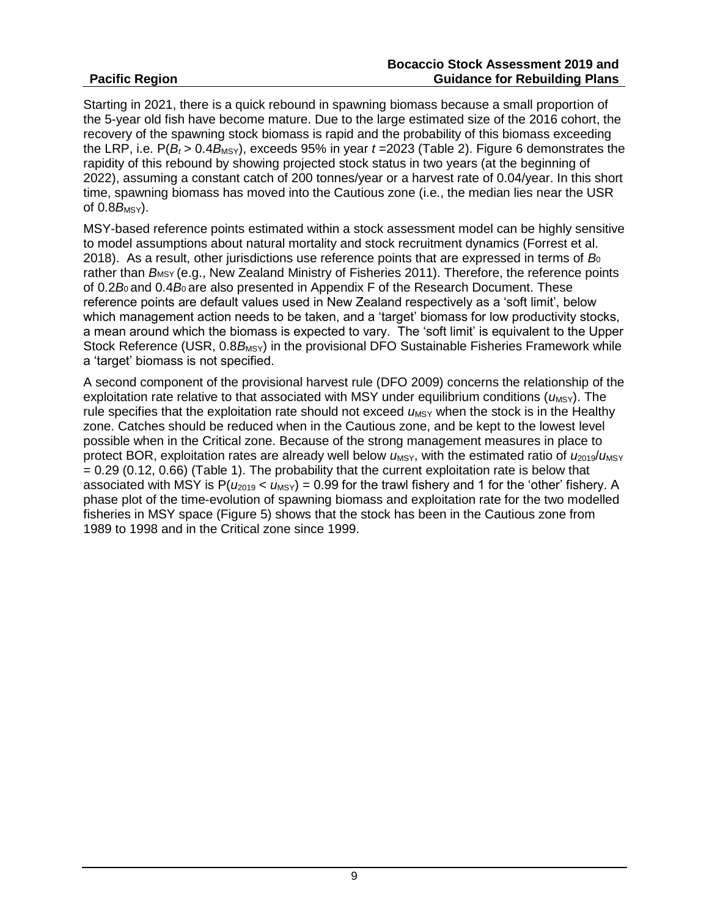Starting in 2021, there is a quick rebound in spawning biomass because a small proportion of the 5-year old fish have become mature. Due to the large estimated size of the 2016 cohort, the recovery of the spawning stock biomass is rapid and the probability of this biomass exceeding the LRP, i.e.  $P(B_t > 0.4B_{MSY})$ , exceeds 95% in year  $t = 2023$  (Table 2). Figure 6 demonstrates the rapidity of this rebound by showing projected stock status in two years (at the beginning of 2022), assuming a constant catch of 200 tonnes/year or a harvest rate of 0.04/year. In this short time, spawning biomass has moved into the Cautious zone (i.e., the median lies near the USR of  $0.8B$ <sub>MSY</sub>).

MSY-based reference points estimated within a stock assessment model can be highly sensitive to model assumptions about natural mortality and stock recruitment dynamics (Forrest et al. 2018). As a result, other jurisdictions use reference points that are expressed in terms of *B*<sup>0</sup> rather than *B*MSY (e.g., New Zealand Ministry of Fisheries 2011). Therefore, the reference points of 0.2*B*0 and 0.4*B*0 are also presented in Appendix F of the Research Document. These reference points are default values used in New Zealand respectively as a 'soft limit', below which management action needs to be taken, and a 'target' biomass for low productivity stocks, a mean around which the biomass is expected to vary. The 'soft limit' is equivalent to the Upper Stock Reference (USR, 0.8B<sub>MSY</sub>) in the provisional DFO Sustainable Fisheries Framework while a 'target' biomass is not specified.

A second component of the provisional harvest rule (DFO 2009) concerns the relationship of the exploitation rate relative to that associated with MSY under equilibrium conditions ( $\mu_{\text{MSY}}$ ). The rule specifies that the exploitation rate should not exceed  $u_{\text{MSY}}$  when the stock is in the Healthy zone. Catches should be reduced when in the Cautious zone, and be kept to the lowest level possible when in the Critical zone. Because of the strong management measures in place to protect BOR, exploitation rates are already well below  $u_{MSY}$ , with the estimated ratio of  $u_{2019}/u_{MSY}$  $= 0.29$  (0.12, 0.66) (Table 1). The probability that the current exploitation rate is below that associated with MSY is  $P(\mu_{2019} < \mu_{MSY}) = 0.99$  for the trawl fishery and 1 for the 'other' fishery. A phase plot of the time-evolution of spawning biomass and exploitation rate for the two modelled fisheries in MSY space (Figure 5) shows that the stock has been in the Cautious zone from 1989 to 1998 and in the Critical zone since 1999.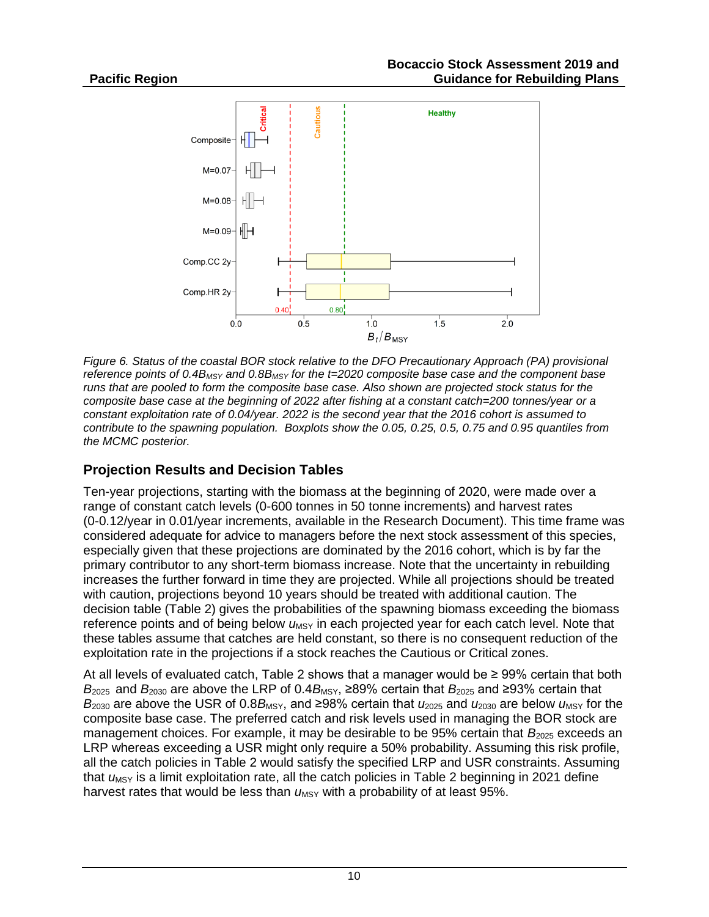

*Figure 6. Status of the coastal BOR stock relative to the DFO Precautionary Approach (PA) provisional reference points of 0.4BMSY and 0.8BMSY for the t=2020 composite base case and the component base runs that are pooled to form the composite base case. Also shown are projected stock status for the composite base case at the beginning of 2022 after fishing at a constant catch=200 tonnes/year or a constant exploitation rate of 0.04/year. 2022 is the second year that the 2016 cohort is assumed to contribute to the spawning population. Boxplots show the 0.05, 0.25, 0.5, 0.75 and 0.95 quantiles from the MCMC posterior.*

# **Projection Results and Decision Tables**

Ten-year projections, starting with the biomass at the beginning of 2020, were made over a range of constant catch levels (0-600 tonnes in 50 tonne increments) and harvest rates (0-0.12/year in 0.01/year increments, available in the Research Document). This time frame was considered adequate for advice to managers before the next stock assessment of this species, especially given that these projections are dominated by the 2016 cohort, which is by far the primary contributor to any short-term biomass increase. Note that the uncertainty in rebuilding increases the further forward in time they are projected. While all projections should be treated with caution, projections beyond 10 years should be treated with additional caution. The decision table (Table 2) gives the probabilities of the spawning biomass exceeding the biomass reference points and of being below  $u_{MSY}$  in each projected year for each catch level. Note that these tables assume that catches are held constant, so there is no consequent reduction of the exploitation rate in the projections if a stock reaches the Cautious or Critical zones.

At all levels of evaluated catch, Table 2 shows that a manager would be  $\geq 99\%$  certain that both  $B_{2025}$  and  $B_{2030}$  are above the LRP of 0.4 $B_{MSY}$ , ≥89% certain that  $B_{2025}$  and ≥93% certain that *B*<sub>2030</sub> are above the USR of 0.8*B*<sub>MSY</sub>, and ≥98% certain that  $u_{2025}$  and  $u_{2030}$  are below  $u_{MSY}$  for the composite base case. The preferred catch and risk levels used in managing the BOR stock are management choices. For example, it may be desirable to be 95% certain that *B*<sub>2025</sub> exceeds an LRP whereas exceeding a USR might only require a 50% probability. Assuming this risk profile, all the catch policies in Table 2 would satisfy the specified LRP and USR constraints. Assuming that *u*<sub>MSY</sub> is a limit exploitation rate, all the catch policies in Table 2 beginning in 2021 define harvest rates that would be less than  $\mu_{\text{MSY}}$  with a probability of at least 95%.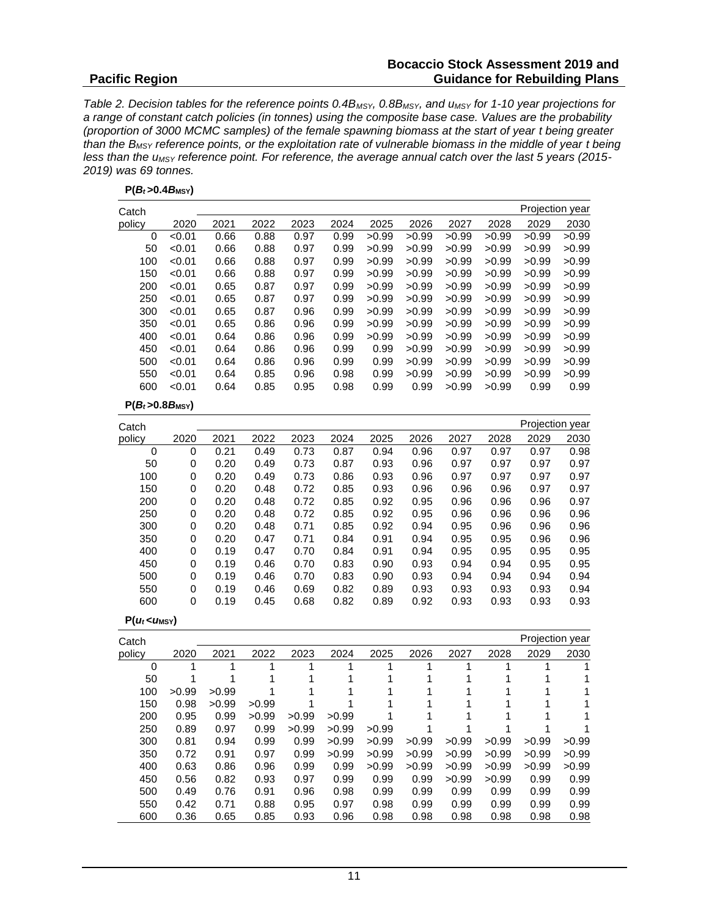#### **Bocaccio Stock Assessment 2019 and Guidance for Rebuilding Plans**

*Table 2. Decision tables for the reference points 0.4BMSY, 0.8BMSY, and uMSY for 1-10 year projections for a range of constant catch policies (in tonnes) using the composite base case. Values are the probability (proportion of 3000 MCMC samples) of the female spawning biomass at the start of year t being greater than the BMSY reference points, or the exploitation rate of vulnerable biomass in the middle of year t being less than the uMSY reference point. For reference, the average annual catch over the last 5 years (2015- 2019) was 69 tonnes.*

|  | $P(B_t>0.4B_{MSY})$ |
|--|---------------------|
|--|---------------------|

| Catch               |             |      |      |      |      |       |       |       |       | Projection year |       |
|---------------------|-------------|------|------|------|------|-------|-------|-------|-------|-----------------|-------|
| policy              | 2020        | 2021 | 2022 | 2023 | 2024 | 2025  | 2026  | 2027  | 2028  | 2029            | 2030  |
| 0                   | < 0.01      | 0.66 | 0.88 | 0.97 | 0.99 | >0.99 | >0.99 | >0.99 | >0.99 | >0.99           | >0.99 |
| 50                  | < 0.01      | 0.66 | 0.88 | 0.97 | 0.99 | >0.99 | >0.99 | >0.99 | >0.99 | >0.99           | >0.99 |
| 100                 | < 0.01      | 0.66 | 0.88 | 0.97 | 0.99 | >0.99 | >0.99 | >0.99 | >0.99 | >0.99           | >0.99 |
| 150                 | < 0.01      | 0.66 | 0.88 | 0.97 | 0.99 | >0.99 | >0.99 | >0.99 | >0.99 | >0.99           | >0.99 |
| 200                 | < 0.01      | 0.65 | 0.87 | 0.97 | 0.99 | >0.99 | >0.99 | >0.99 | >0.99 | >0.99           | >0.99 |
| 250                 | < 0.01      | 0.65 | 0.87 | 0.97 | 0.99 | >0.99 | >0.99 | >0.99 | >0.99 | >0.99           | >0.99 |
| 300                 | < 0.01      | 0.65 | 0.87 | 0.96 | 0.99 | >0.99 | >0.99 | >0.99 | >0.99 | >0.99           | >0.99 |
| 350                 | < 0.01      | 0.65 | 0.86 | 0.96 | 0.99 | >0.99 | >0.99 | >0.99 | >0.99 | >0.99           | >0.99 |
| 400                 | < 0.01      | 0.64 | 0.86 | 0.96 | 0.99 | >0.99 | >0.99 | >0.99 | >0.99 | >0.99           | >0.99 |
| 450                 | < 0.01      | 0.64 | 0.86 | 0.96 | 0.99 | 0.99  | >0.99 | >0.99 | >0.99 | >0.99           | >0.99 |
| 500                 | < 0.01      | 0.64 | 0.86 | 0.96 | 0.99 | 0.99  | >0.99 | >0.99 | >0.99 | >0.99           | >0.99 |
| 550                 | < 0.01      | 0.64 | 0.85 | 0.96 | 0.98 | 0.99  | >0.99 | >0.99 | >0.99 | >0.99           | >0.99 |
| 600                 | < 0.01      | 0.64 | 0.85 | 0.95 | 0.98 | 0.99  | 0.99  | >0.99 | >0.99 | 0.99            | 0.99  |
| $P(B_t>0.8B_{MSY})$ |             |      |      |      |      |       |       |       |       |                 |       |
| Catch               |             |      |      |      |      |       |       |       |       | Projection year |       |
| policy              | 2020        | 2021 | 2022 | 2023 | 2024 | 2025  | 2026  | 2027  | 2028  | 2029            | 2030  |
| 0                   | $\mathbf 0$ | 0.21 | 0.49 | 0.73 | 0.87 | 0.94  | 0.96  | 0.97  | 0.97  | 0.97            | 0.98  |
| 50                  | 0           | 0.20 | 0.49 | 0.73 | 0.87 | 0.93  | 0.96  | 0.97  | 0.97  | 0.97            | 0.97  |
| 100                 | 0           | 0.20 | 0.49 | 0.73 | 0.86 | 0.93  | 0.96  | 0.97  | 0.97  | 0.97            | 0.97  |
| 150                 | 0           | 0.20 | 0.48 | 0.72 | 0.85 | 0.93  | 0.96  | 0.96  | 0.96  | 0.97            | 0.97  |
| 200                 | 0           | 0.20 | 0.48 | 0.72 | 0.85 | 0.92  | 0.95  | 0.96  | 0.96  | 0.96            | 0.97  |
| 250                 | 0           | 0.20 | 0.48 | 0.72 | 0.85 | 0.92  | 0.95  | 0.96  | 0.96  | 0.96            | 0.96  |
| 300                 | 0           | 0.20 | 0.48 | 0.71 | 0.85 | 0.92  | 0.94  | 0.95  | 0.96  | 0.96            | 0.96  |
| 350                 | 0           | 0.20 | 0.47 | 0.71 | 0.84 | 0.91  | 0.94  | 0.95  | 0.95  | 0.96            | 0.96  |
| 400                 | 0           | 0.19 | 0.47 | 0.70 | 0.84 | 0.91  | 0.94  | 0.95  | 0.95  | 0.95            | 0.95  |
| 450                 | $\mathbf 0$ | 0.19 | 0.46 | 0.70 | 0.83 | 0.90  | 0.93  | 0.94  | 0.94  | 0.95            | 0.95  |
| 500                 | 0           | 0.19 | 0.46 | 0.70 | 0.83 | 0.90  | 0.93  | 0.94  | 0.94  | 0.94            | 0.94  |
| 550                 | 0           | 0.19 | 0.46 | 0.69 | 0.82 | 0.89  | 0.93  | 0.93  | 0.93  | 0.93            | 0.94  |
| 600                 | 0           | 0.19 | 0.45 | 0.68 | 0.82 | 0.89  | 0.92  | 0.93  | 0.93  | 0.93            | 0.93  |

|  | $P(u_t < u_{MSY})$ |
|--|--------------------|
|--|--------------------|

Projection year

| Catch  |       |       |       |       |       |       |       |       |       | Projection year |       |
|--------|-------|-------|-------|-------|-------|-------|-------|-------|-------|-----------------|-------|
| policy | 2020  | 2021  | 2022  | 2023  | 2024  | 2025  | 2026  | 2027  | 2028  | 2029            | 2030  |
| 0      |       |       | 1     |       |       |       |       |       |       |                 |       |
| 50     |       |       |       |       |       |       |       |       |       |                 |       |
| 100    | >0.99 | >0.99 |       |       |       |       |       |       |       |                 |       |
| 150    | 0.98  | >0.99 | >0.99 |       |       |       |       |       |       |                 |       |
| 200    | 0.95  | 0.99  | >0.99 | >0.99 | >0.99 |       |       |       |       |                 |       |
| 250    | 0.89  | 0.97  | 0.99  | >0.99 | >0.99 | >0.99 |       |       |       |                 |       |
| 300    | 0.81  | 0.94  | 0.99  | 0.99  | >0.99 | >0.99 | >0.99 | >0.99 | >0.99 | >0.99           | >0.99 |
| 350    | 0.72  | 0.91  | 0.97  | 0.99  | >0.99 | >0.99 | >0.99 | >0.99 | >0.99 | >0.99           | >0.99 |
| 400    | 0.63  | 0.86  | 0.96  | 0.99  | 0.99  | >0.99 | >0.99 | >0.99 | >0.99 | >0.99           | >0.99 |
| 450    | 0.56  | 0.82  | 0.93  | 0.97  | 0.99  | 0.99  | 0.99  | >0.99 | >0.99 | 0.99            | 0.99  |
| 500    | 0.49  | 0.76  | 0.91  | 0.96  | 0.98  | 0.99  | 0.99  | 0.99  | 0.99  | 0.99            | 0.99  |
| 550    | 0.42  | 0.71  | 0.88  | 0.95  | 0.97  | 0.98  | 0.99  | 0.99  | 0.99  | 0.99            | 0.99  |
| 600    | 0.36  | 0.65  | 0.85  | 0.93  | 0.96  | 0.98  | 0.98  | 0.98  | 0.98  | 0.98            | 0.98  |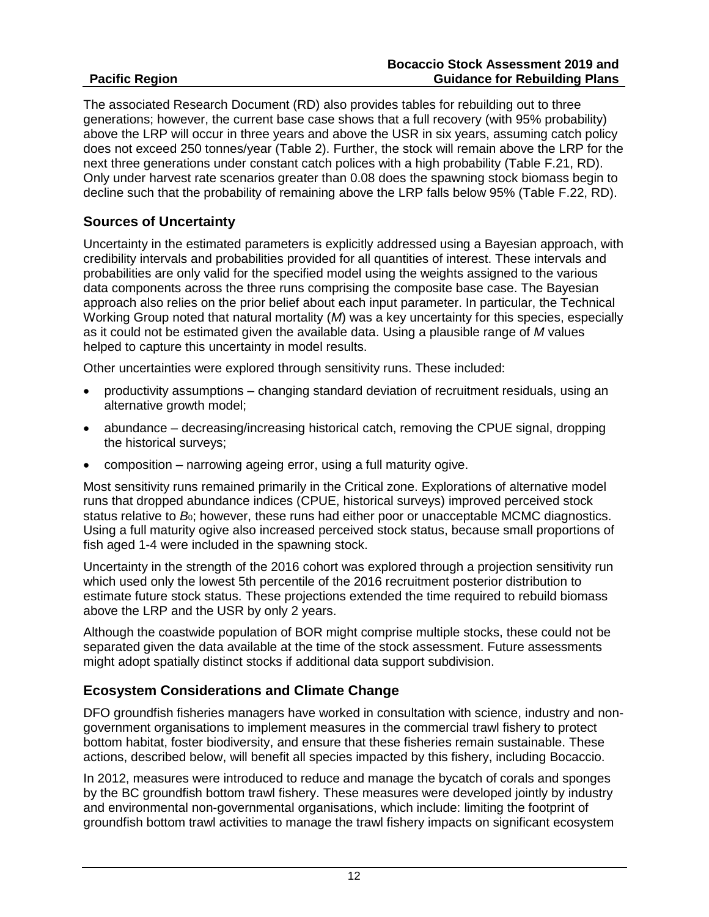The associated Research Document (RD) also provides tables for rebuilding out to three generations; however, the current base case shows that a full recovery (with 95% probability) above the LRP will occur in three years and above the USR in six years, assuming catch policy does not exceed 250 tonnes/year (Table 2). Further, the stock will remain above the LRP for the next three generations under constant catch polices with a high probability (Table F.21, RD). Only under harvest rate scenarios greater than 0.08 does the spawning stock biomass begin to decline such that the probability of remaining above the LRP falls below 95% (Table F.22, RD).

# **Sources of Uncertainty**

Uncertainty in the estimated parameters is explicitly addressed using a Bayesian approach, with credibility intervals and probabilities provided for all quantities of interest. These intervals and probabilities are only valid for the specified model using the weights assigned to the various data components across the three runs comprising the composite base case. The Bayesian approach also relies on the prior belief about each input parameter. In particular, the Technical Working Group noted that natural mortality (*M*) was a key uncertainty for this species, especially as it could not be estimated given the available data. Using a plausible range of *M* values helped to capture this uncertainty in model results.

Other uncertainties were explored through sensitivity runs. These included:

- productivity assumptions changing standard deviation of recruitment residuals, using an alternative growth model;
- abundance decreasing/increasing historical catch, removing the CPUE signal, dropping the historical surveys;
- composition narrowing ageing error, using a full maturity ogive.

Most sensitivity runs remained primarily in the Critical zone. Explorations of alternative model runs that dropped abundance indices (CPUE, historical surveys) improved perceived stock status relative to *B*<sub>0</sub>; however, these runs had either poor or unacceptable MCMC diagnostics. Using a full maturity ogive also increased perceived stock status, because small proportions of fish aged 1-4 were included in the spawning stock.

Uncertainty in the strength of the 2016 cohort was explored through a projection sensitivity run which used only the lowest 5th percentile of the 2016 recruitment posterior distribution to estimate future stock status. These projections extended the time required to rebuild biomass above the LRP and the USR by only 2 years.

Although the coastwide population of BOR might comprise multiple stocks, these could not be separated given the data available at the time of the stock assessment. Future assessments might adopt spatially distinct stocks if additional data support subdivision.

# **Ecosystem Considerations and Climate Change**

DFO groundfish fisheries managers have worked in consultation with science, industry and nongovernment organisations to implement measures in the commercial trawl fishery to protect bottom habitat, foster biodiversity, and ensure that these fisheries remain sustainable. These actions, described below, will benefit all species impacted by this fishery, including Bocaccio.

In 2012, measures were introduced to reduce and manage the bycatch of corals and sponges by the BC groundfish bottom trawl fishery. These measures were developed jointly by industry and environmental non-governmental organisations, which include: limiting the footprint of groundfish bottom trawl activities to manage the trawl fishery impacts on significant ecosystem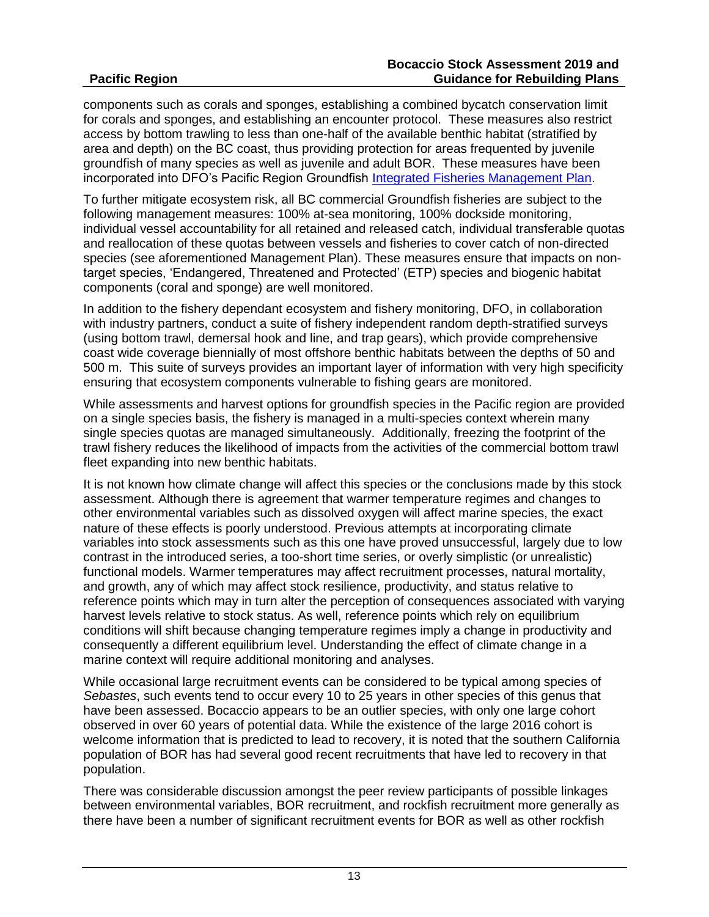components such as corals and sponges, establishing a combined bycatch conservation limit for corals and sponges, and establishing an encounter protocol. These measures also restrict access by bottom trawling to less than one-half of the available benthic habitat (stratified by area and depth) on the BC coast, thus providing protection for areas frequented by juvenile groundfish of many species as well as juvenile and adult BOR. These measures have been incorporated into DFO's Pacific Region Groundfish [Integrated Fisheries Management Plan.](https://waves-vagues.dfo-mpo.gc.ca/Library/40765167.pdf)

To further mitigate ecosystem risk, all BC commercial Groundfish fisheries are subject to the following management measures: 100% at-sea monitoring, 100% dockside monitoring, individual vessel accountability for all retained and released catch, individual transferable quotas and reallocation of these quotas between vessels and fisheries to cover catch of non-directed species (see aforementioned Management Plan). These measures ensure that impacts on nontarget species, 'Endangered, Threatened and Protected' (ETP) species and biogenic habitat components (coral and sponge) are well monitored.

In addition to the fishery dependant ecosystem and fishery monitoring, DFO, in collaboration with industry partners, conduct a suite of fishery independent random depth-stratified surveys (using bottom trawl, demersal hook and line, and trap gears), which provide comprehensive coast wide coverage biennially of most offshore benthic habitats between the depths of 50 and 500 m. This suite of surveys provides an important layer of information with very high specificity ensuring that ecosystem components vulnerable to fishing gears are monitored.

While assessments and harvest options for groundfish species in the Pacific region are provided on a single species basis, the fishery is managed in a multi-species context wherein many single species quotas are managed simultaneously. Additionally, freezing the footprint of the trawl fishery reduces the likelihood of impacts from the activities of the commercial bottom trawl fleet expanding into new benthic habitats.

It is not known how climate change will affect this species or the conclusions made by this stock assessment. Although there is agreement that warmer temperature regimes and changes to other environmental variables such as dissolved oxygen will affect marine species, the exact nature of these effects is poorly understood. Previous attempts at incorporating climate variables into stock assessments such as this one have proved unsuccessful, largely due to low contrast in the introduced series, a too-short time series, or overly simplistic (or unrealistic) functional models. Warmer temperatures may affect recruitment processes, natural mortality, and growth, any of which may affect stock resilience, productivity, and status relative to reference points which may in turn alter the perception of consequences associated with varying harvest levels relative to stock status. As well, reference points which rely on equilibrium conditions will shift because changing temperature regimes imply a change in productivity and consequently a different equilibrium level. Understanding the effect of climate change in a marine context will require additional monitoring and analyses.

While occasional large recruitment events can be considered to be typical among species of *Sebastes*, such events tend to occur every 10 to 25 years in other species of this genus that have been assessed. Bocaccio appears to be an outlier species, with only one large cohort observed in over 60 years of potential data. While the existence of the large 2016 cohort is welcome information that is predicted to lead to recovery, it is noted that the southern California population of BOR has had several good recent recruitments that have led to recovery in that population.

There was considerable discussion amongst the peer review participants of possible linkages between environmental variables, BOR recruitment, and rockfish recruitment more generally as there have been a number of significant recruitment events for BOR as well as other rockfish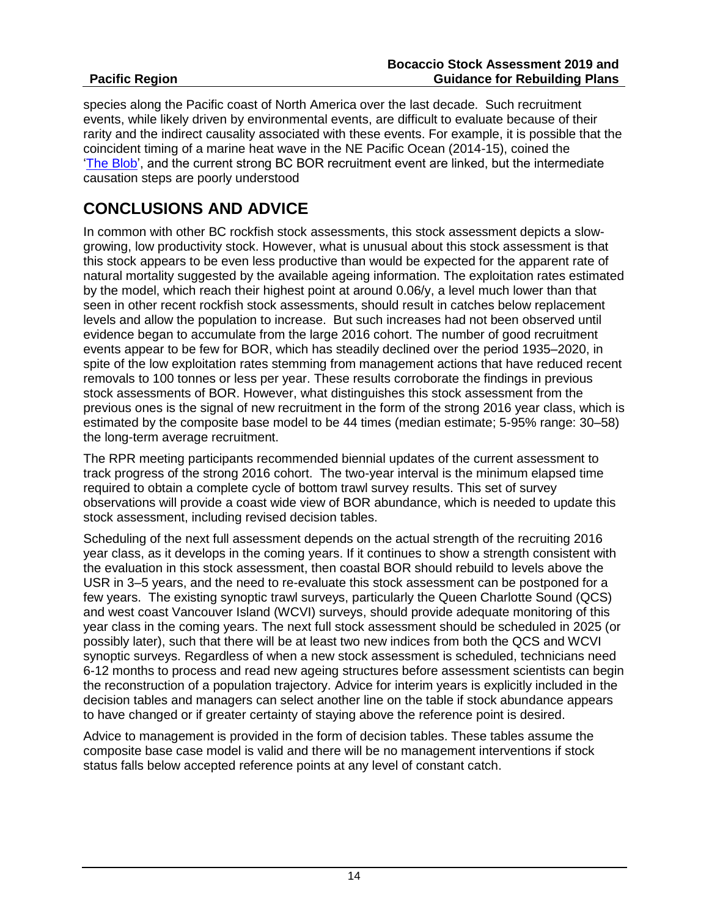species along the Pacific coast of North America over the last decade. Such recruitment events, while likely driven by environmental events, are difficult to evaluate because of their rarity and the indirect causality associated with these events. For example, it is possible that the coincident timing of a marine heat wave in the NE Pacific Ocean (2014-15), coined the The [Blob',](https://climate.washington.edu/wp-content/uploads/2014Jun.pdf) and the current strong BC BOR recruitment event are linked, but the intermediate causation steps are poorly understood

# **CONCLUSIONS AND ADVICE**

In common with other BC rockfish stock assessments, this stock assessment depicts a slowgrowing, low productivity stock. However, what is unusual about this stock assessment is that this stock appears to be even less productive than would be expected for the apparent rate of natural mortality suggested by the available ageing information. The exploitation rates estimated by the model, which reach their highest point at around 0.06/y, a level much lower than that seen in other recent rockfish stock assessments, should result in catches below replacement levels and allow the population to increase. But such increases had not been observed until evidence began to accumulate from the large 2016 cohort. The number of good recruitment events appear to be few for BOR, which has steadily declined over the period 1935–2020, in spite of the low exploitation rates stemming from management actions that have reduced recent removals to 100 tonnes or less per year. These results corroborate the findings in previous stock assessments of BOR. However, what distinguishes this stock assessment from the previous ones is the signal of new recruitment in the form of the strong 2016 year class, which is estimated by the composite base model to be 44 times (median estimate; 5-95% range: 30–58) the long-term average recruitment.

The RPR meeting participants recommended biennial updates of the current assessment to track progress of the strong 2016 cohort. The two-year interval is the minimum elapsed time required to obtain a complete cycle of bottom trawl survey results. This set of survey observations will provide a coast wide view of BOR abundance, which is needed to update this stock assessment, including revised decision tables.

Scheduling of the next full assessment depends on the actual strength of the recruiting 2016 year class, as it develops in the coming years. If it continues to show a strength consistent with the evaluation in this stock assessment, then coastal BOR should rebuild to levels above the USR in 3–5 years, and the need to re-evaluate this stock assessment can be postponed for a few years. The existing synoptic trawl surveys, particularly the Queen Charlotte Sound (QCS) and west coast Vancouver Island (WCVI) surveys, should provide adequate monitoring of this year class in the coming years. The next full stock assessment should be scheduled in 2025 (or possibly later), such that there will be at least two new indices from both the QCS and WCVI synoptic surveys. Regardless of when a new stock assessment is scheduled, technicians need 6-12 months to process and read new ageing structures before assessment scientists can begin the reconstruction of a population trajectory. Advice for interim years is explicitly included in the decision tables and managers can select another line on the table if stock abundance appears to have changed or if greater certainty of staying above the reference point is desired.

Advice to management is provided in the form of decision tables. These tables assume the composite base case model is valid and there will be no management interventions if stock status falls below accepted reference points at any level of constant catch.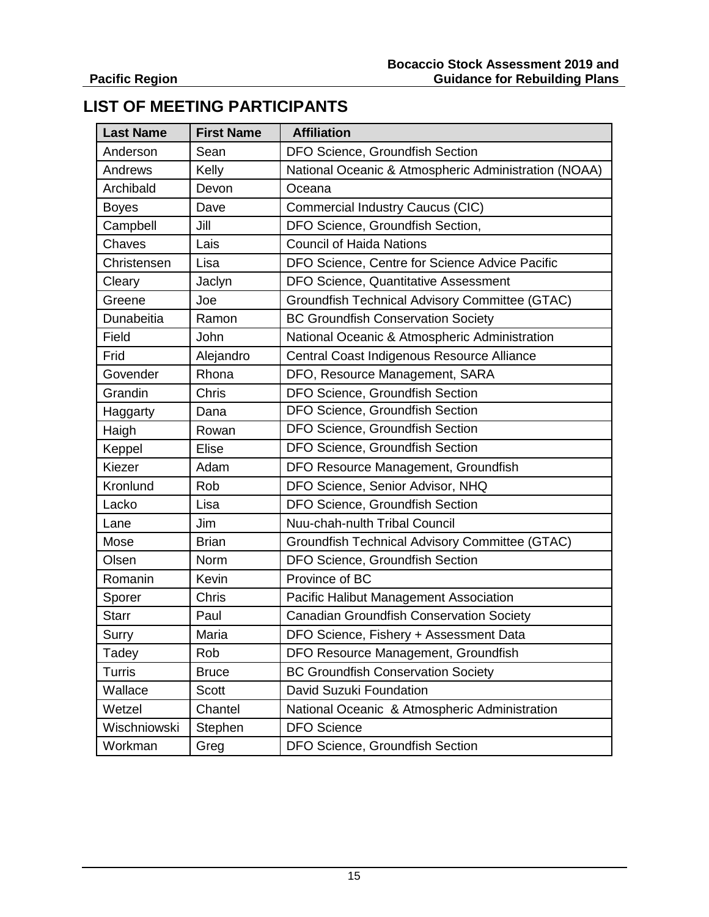# **LIST OF MEETING PARTICIPANTS**

| <b>Last Name</b> | <b>First Name</b> | <b>Affiliation</b>                                    |  |  |  |
|------------------|-------------------|-------------------------------------------------------|--|--|--|
| Anderson         | Sean              | DFO Science, Groundfish Section                       |  |  |  |
| Andrews          | Kelly             | National Oceanic & Atmospheric Administration (NOAA)  |  |  |  |
| Archibald        | Devon             | Oceana                                                |  |  |  |
| <b>Boyes</b>     | Dave              | <b>Commercial Industry Caucus (CIC)</b>               |  |  |  |
| Campbell         | Jill              | DFO Science, Groundfish Section,                      |  |  |  |
| Chaves           | Lais              | <b>Council of Haida Nations</b>                       |  |  |  |
| Christensen      | Lisa              | DFO Science, Centre for Science Advice Pacific        |  |  |  |
| Cleary           | Jaclyn            | <b>DFO Science, Quantitative Assessment</b>           |  |  |  |
| Greene           | Joe               | <b>Groundfish Technical Advisory Committee (GTAC)</b> |  |  |  |
| Dunabeitia       | Ramon             | <b>BC Groundfish Conservation Society</b>             |  |  |  |
| Field            | John              | National Oceanic & Atmospheric Administration         |  |  |  |
| Frid             | Alejandro         | Central Coast Indigenous Resource Alliance            |  |  |  |
| Govender         | Rhona             | DFO, Resource Management, SARA                        |  |  |  |
| Grandin          | Chris             | DFO Science, Groundfish Section                       |  |  |  |
| Haggarty         | Dana              | DFO Science, Groundfish Section                       |  |  |  |
| Haigh            | Rowan             | DFO Science, Groundfish Section                       |  |  |  |
| Keppel           | <b>Elise</b>      | DFO Science, Groundfish Section                       |  |  |  |
| Kiezer           | Adam              | DFO Resource Management, Groundfish                   |  |  |  |
| Kronlund         | Rob               | DFO Science, Senior Advisor, NHQ                      |  |  |  |
| Lacko            | Lisa              | DFO Science, Groundfish Section                       |  |  |  |
| Lane             | Jim               | Nuu-chah-nulth Tribal Council                         |  |  |  |
| Mose             | <b>Brian</b>      | <b>Groundfish Technical Advisory Committee (GTAC)</b> |  |  |  |
| Olsen            | Norm              | DFO Science, Groundfish Section                       |  |  |  |
| Romanin          | Kevin             | Province of BC                                        |  |  |  |
| Sporer           | <b>Chris</b>      | Pacific Halibut Management Association                |  |  |  |
| <b>Starr</b>     | Paul              | <b>Canadian Groundfish Conservation Society</b>       |  |  |  |
| Surry            | Maria             | DFO Science, Fishery + Assessment Data                |  |  |  |
| Tadey            | Rob               | DFO Resource Management, Groundfish                   |  |  |  |
| Turris           | <b>Bruce</b>      | <b>BC Groundfish Conservation Society</b>             |  |  |  |
| Wallace          | <b>Scott</b>      | David Suzuki Foundation                               |  |  |  |
| Wetzel           | Chantel           | National Oceanic & Atmospheric Administration         |  |  |  |
| Wischniowski     | Stephen           | <b>DFO Science</b>                                    |  |  |  |
| Workman          | Greg              | DFO Science, Groundfish Section                       |  |  |  |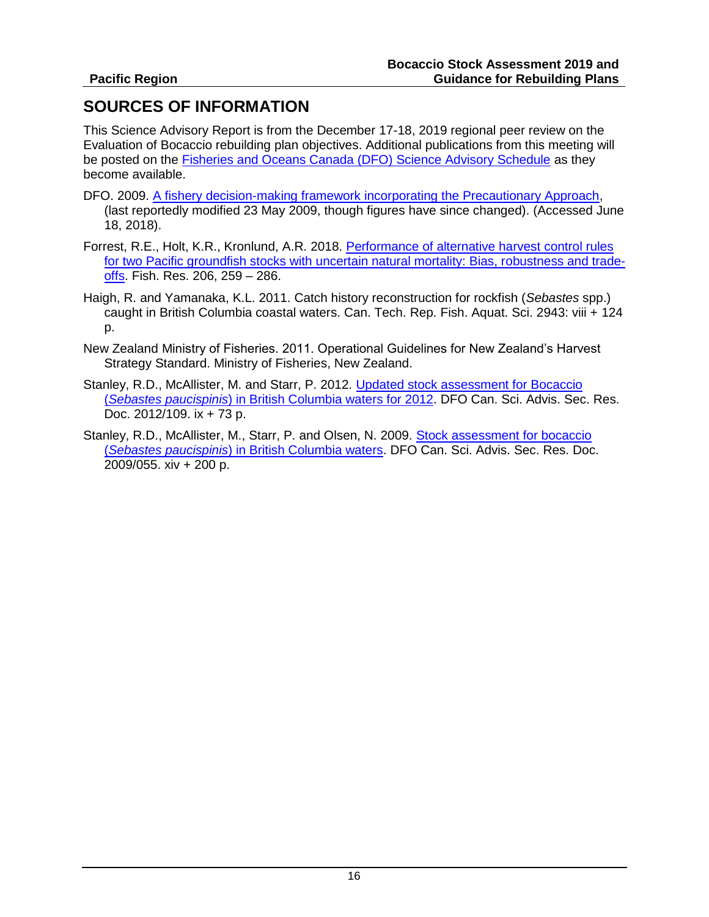# **SOURCES OF INFORMATION**

This Science Advisory Report is from the December 17-18, 2019 regional peer review on the Evaluation of Bocaccio rebuilding plan objectives. Additional publications from this meeting will be posted on the [Fisheries and Oceans Canada \(DFO\) Science Advisory Schedule](http://www.isdm-gdsi.gc.ca/csas-sccs/applications/events-evenements/index-eng.asp) as they become available.

- DFO. 2009. [A fishery decision-making framework incorporating the Precautionary Approach,](http://www.dfo-mpo.gc.ca/reports-rapports/regs/sff-cpd/precaution-back-fiche-eng.htm) (last reportedly modified 23 May 2009, though figures have since changed). (Accessed June 18, 2018).
- Forrest, R.E., Holt, K.R., Kronlund, A.R. 2018. [Performance of alternative harvest control rules](https://doi.org/10.1016/j.fishres.2018.04.007)  [for two Pacific groundfish stocks with uncertain natural mortality: Bias, robustness and trade](https://doi.org/10.1016/j.fishres.2018.04.007)[offs.](https://doi.org/10.1016/j.fishres.2018.04.007) Fish. Res. 206, 259 – 286.
- Haigh, R. and Yamanaka, K.L. 2011. Catch history reconstruction for rockfish (*Sebastes* spp.) caught in British Columbia coastal waters. Can. Tech. Rep. Fish. Aquat. Sci. 2943: viii + 124 p.
- New Zealand Ministry of Fisheries. 2011. Operational Guidelines for New Zealand's Harvest Strategy Standard. Ministry of Fisheries, New Zealand.
- Stanley, R.D., McAllister, M. and Starr, P. 2012. [Updated stock assessment for Bocaccio](http://www.dfo-mpo.gc.ca/csas-sccs/Publications/ResDocs-DocRech/2012/2012_109-eng.html)  (*Sebastes paucispinis*[\) in British Columbia waters for 2012.](http://www.dfo-mpo.gc.ca/csas-sccs/Publications/ResDocs-DocRech/2012/2012_109-eng.html) DFO Can. Sci. Advis. Sec. Res. Doc. 2012/109. ix + 73 p.
- Stanley, R.D., McAllister, M., Starr, P. and Olsen, N. 2009. [Stock assessment for bocaccio](http://www.dfo-mpo.gc.ca/csas-sccs/publications/resdocs-docrech/2009/2009_055-eng.htm)  (*Sebastes paucispinis*[\) in British Columbia waters.](http://www.dfo-mpo.gc.ca/csas-sccs/publications/resdocs-docrech/2009/2009_055-eng.htm) DFO Can. Sci. Advis. Sec. Res. Doc. 2009/055. xiv + 200 p.